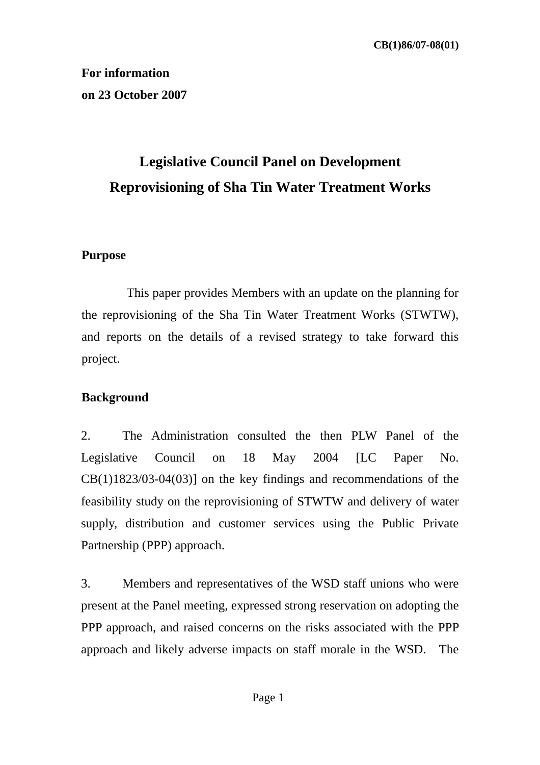**For information on 23 October 2007**

# **Legislative Council Panel on Development Reprovisioning of Sha Tin Water Treatment Works**

### **Purpose**

 This paper provides Members with an update on the planning for the reprovisioning of the Sha Tin Water Treatment Works (STWTW), and reports on the details of a revised strategy to take forward this project.

### **Background**

2. The Administration consulted the then PLW Panel of the Legislative Council on 18 May 2004 [LC Paper No. CB(1)1823/03-04(03)] on the key findings and recommendations of the feasibility study on the reprovisioning of STWTW and delivery of water supply, distribution and customer services using the Public Private Partnership (PPP) approach.

3. Members and representatives of the WSD staff unions who were present at the Panel meeting, expressed strong reservation on adopting the PPP approach, and raised concerns on the risks associated with the PPP approach and likely adverse impacts on staff morale in the WSD. The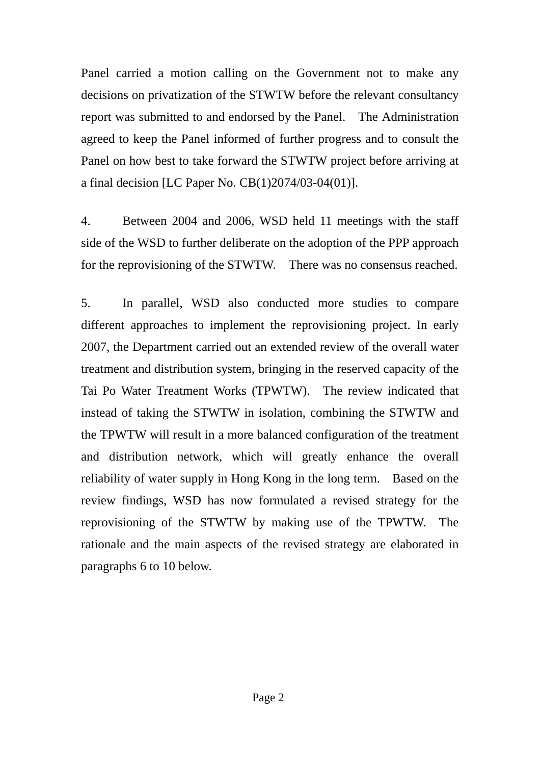Panel carried a motion calling on the Government not to make any decisions on privatization of the STWTW before the relevant consultancy report was submitted to and endorsed by the Panel. The Administration agreed to keep the Panel informed of further progress and to consult the Panel on how best to take forward the STWTW project before arriving at a final decision [LC Paper No. CB(1)2074/03-04(01)].

4. Between 2004 and 2006, WSD held 11 meetings with the staff side of the WSD to further deliberate on the adoption of the PPP approach for the reprovisioning of the STWTW. There was no consensus reached.

5. In parallel, WSD also conducted more studies to compare different approaches to implement the reprovisioning project. In early 2007, the Department carried out an extended review of the overall water treatment and distribution system, bringing in the reserved capacity of the Tai Po Water Treatment Works (TPWTW). The review indicated that instead of taking the STWTW in isolation, combining the STWTW and the TPWTW will result in a more balanced configuration of the treatment and distribution network, which will greatly enhance the overall reliability of water supply in Hong Kong in the long term. Based on the review findings, WSD has now formulated a revised strategy for the reprovisioning of the STWTW by making use of the TPWTW. The rationale and the main aspects of the revised strategy are elaborated in paragraphs 6 to 10 below.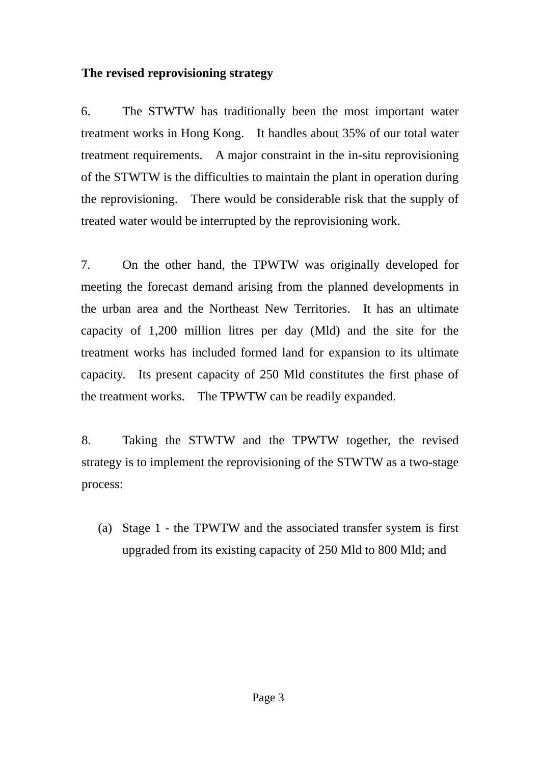### **The revised reprovisioning strategy**

6. The STWTW has traditionally been the most important water treatment works in Hong Kong. It handles about 35% of our total water treatment requirements. A major constraint in the in-situ reprovisioning of the STWTW is the difficulties to maintain the plant in operation during the reprovisioning. There would be considerable risk that the supply of treated water would be interrupted by the reprovisioning work.

7. On the other hand, the TPWTW was originally developed for meeting the forecast demand arising from the planned developments in the urban area and the Northeast New Territories. It has an ultimate capacity of 1,200 million litres per day (Mld) and the site for the treatment works has included formed land for expansion to its ultimate capacity. Its present capacity of 250 Mld constitutes the first phase of the treatment works. The TPWTW can be readily expanded.

8. Taking the STWTW and the TPWTW together, the revised strategy is to implement the reprovisioning of the STWTW as a two-stage process:

(a) Stage 1 - the TPWTW and the associated transfer system is first upgraded from its existing capacity of 250 Mld to 800 Mld; and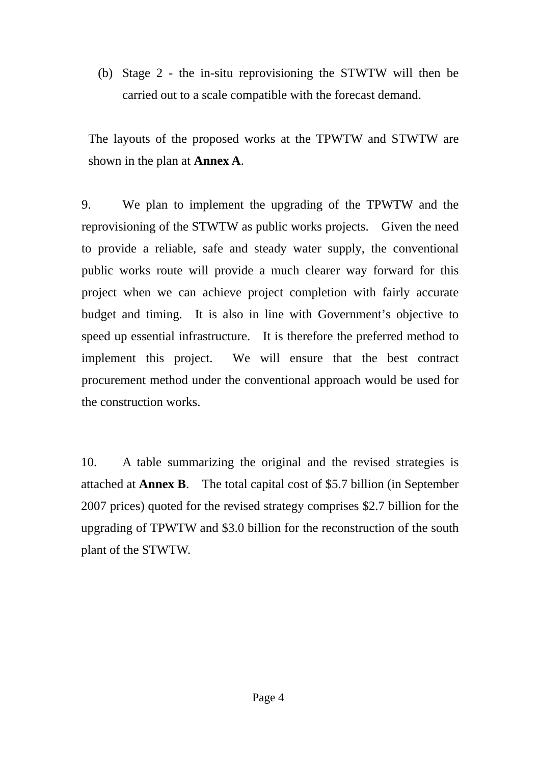(b) Stage 2 - the in-situ reprovisioning the STWTW will then be carried out to a scale compatible with the forecast demand.

The layouts of the proposed works at the TPWTW and STWTW are shown in the plan at **Annex A**.

9. We plan to implement the upgrading of the TPWTW and the reprovisioning of the STWTW as public works projects. Given the need to provide a reliable, safe and steady water supply, the conventional public works route will provide a much clearer way forward for this project when we can achieve project completion with fairly accurate budget and timing. It is also in line with Government's objective to speed up essential infrastructure. It is therefore the preferred method to implement this project. We will ensure that the best contract procurement method under the conventional approach would be used for the construction works.

10. A table summarizing the original and the revised strategies is attached at **Annex B**. The total capital cost of \$5.7 billion (in September 2007 prices) quoted for the revised strategy comprises \$2.7 billion for the upgrading of TPWTW and \$3.0 billion for the reconstruction of the south plant of the STWTW.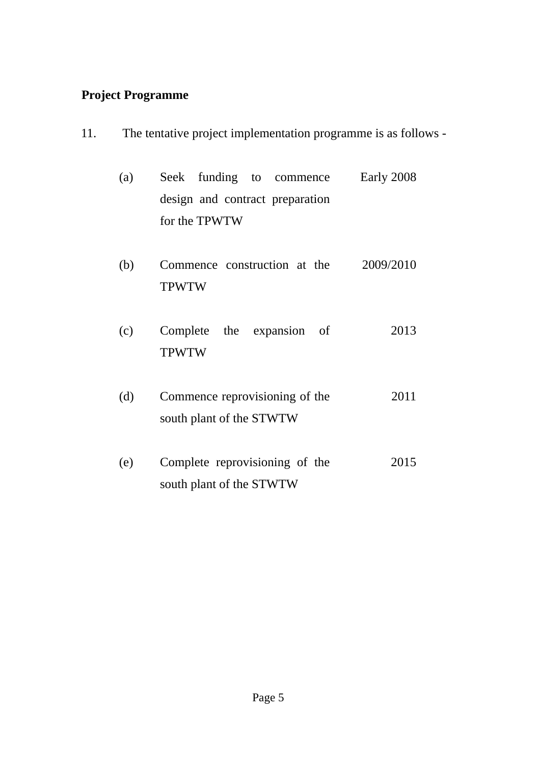### **Project Programme**

11. The tentative project implementation programme is as follows -

| (a) |               |  |  | Seek funding to commence        | Early 2008 |
|-----|---------------|--|--|---------------------------------|------------|
|     |               |  |  | design and contract preparation |            |
|     | for the TPWTW |  |  |                                 |            |

- (b) Commence construction at the TPWTW 2009/2010
- (c) Complete the expansion of TPWTW 2013
- (d) Commence reprovisioning of the south plant of the STWTW 2011
- (e) Complete reprovisioning of the south plant of the STWTW 2015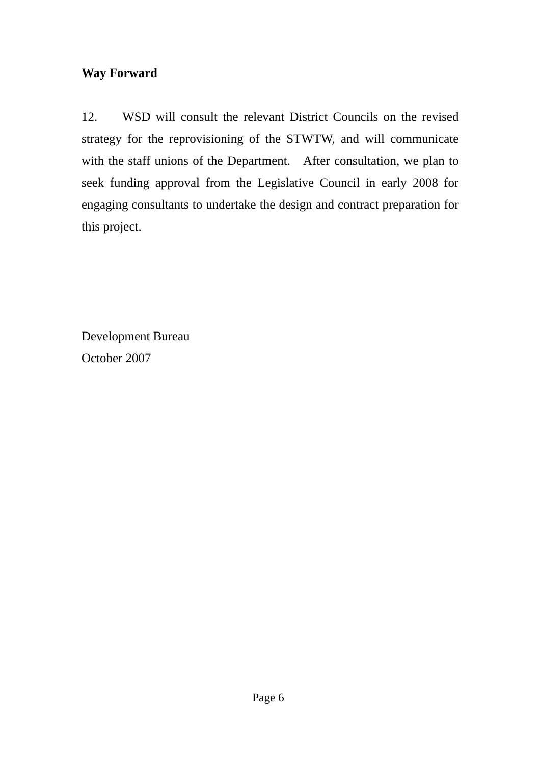## **Way Forward**

12. WSD will consult the relevant District Councils on the revised strategy for the reprovisioning of the STWTW, and will communicate with the staff unions of the Department. After consultation, we plan to seek funding approval from the Legislative Council in early 2008 for engaging consultants to undertake the design and contract preparation for this project.

Development Bureau October 2007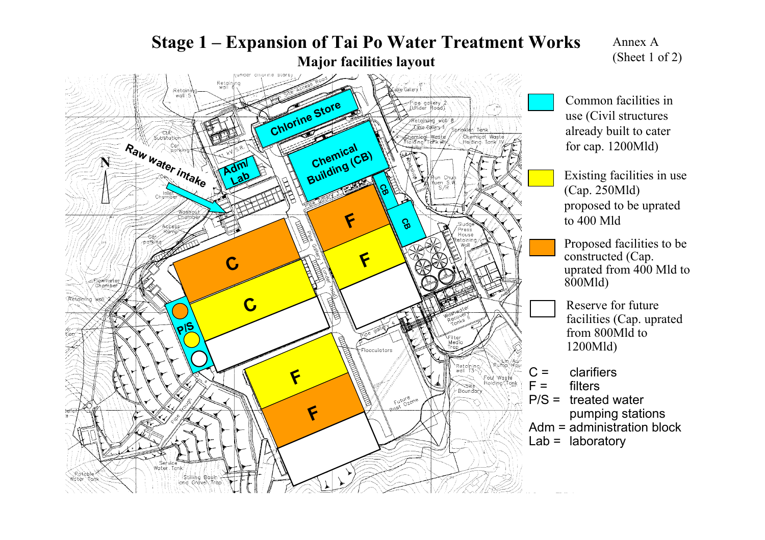

Annex A(Sheet 1 of 2)

Common facilities inuse (Civil structures already built to cater for cap. 1200Mld)

Existing facilities in use (Cap. 250Mld) proposed to be uprated to 400 Mld

Proposed facilities to be constructed (Cap. uprated from 400 Mld to 800Mld)

- Reserve for future facilities (Cap. uprated from 800Mld to 1200Mld)
- $C =$  clarifiers
	- filters
- P/S = treated water pumping stations
- Adm = administration block
- $Lab =$  laboratory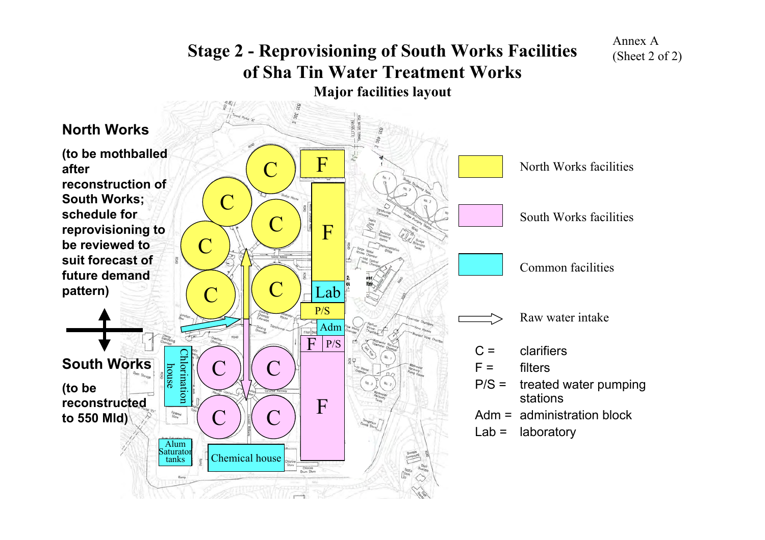